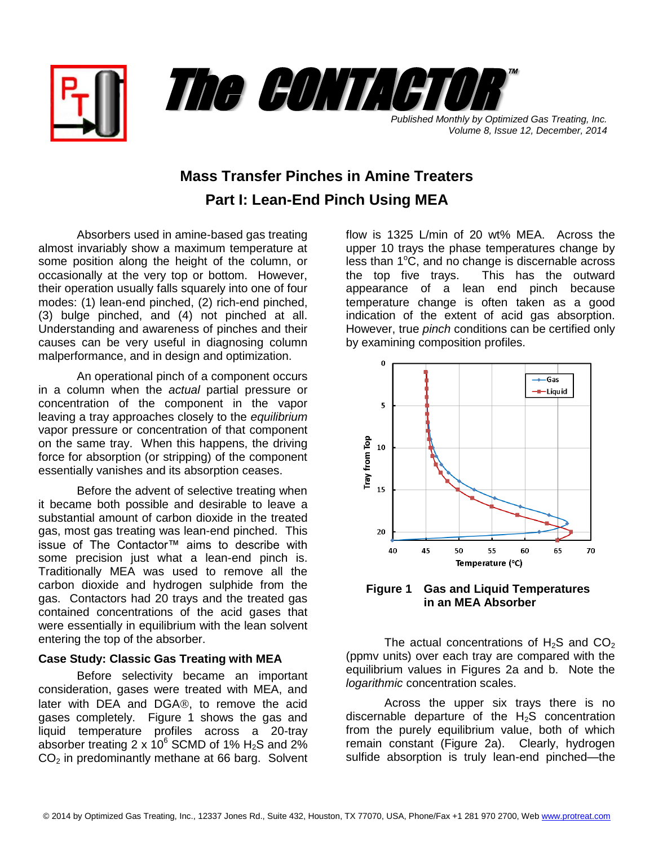



*Volume 8, Issue 12, December, 2014*

## **Mass Transfer Pinches in Amine Treaters Part I: Lean-End Pinch Using MEA**

Absorbers used in amine-based gas treating almost invariably show a maximum temperature at some position along the height of the column, or occasionally at the very top or bottom. However, their operation usually falls squarely into one of four modes: (1) lean-end pinched, (2) rich-end pinched, (3) bulge pinched, and (4) not pinched at all. Understanding and awareness of pinches and their causes can be very useful in diagnosing column malperformance, and in design and optimization.

An operational pinch of a component occurs in a column when the *actual* partial pressure or concentration of the component in the vapor leaving a tray approaches closely to the *equilibrium* vapor pressure or concentration of that component on the same tray. When this happens, the driving force for absorption (or stripping) of the component essentially vanishes and its absorption ceases.

Before the advent of selective treating when it became both possible and desirable to leave a substantial amount of carbon dioxide in the treated gas, most gas treating was lean-end pinched. This issue of The Contactor™ aims to describe with some precision just what a lean-end pinch is. Traditionally MEA was used to remove all the carbon dioxide and hydrogen sulphide from the gas. Contactors had 20 trays and the treated gas contained concentrations of the acid gases that were essentially in equilibrium with the lean solvent entering the top of the absorber.

## **Case Study: Classic Gas Treating with MEA**

Before selectivity became an important consideration, gases were treated with MEA, and later with DEA and DGA®, to remove the acid gases completely. Figure 1 shows the gas and liquid temperature profiles across a 20-tray absorber treating 2 x  $10^6$  SCMD of 1% H<sub>2</sub>S and 2%  $CO<sub>2</sub>$  in predominantly methane at 66 barg. Solvent

flow is 1325 L/min of 20 wt% MEA. Across the upper 10 trays the phase temperatures change by less than  $1^{\circ}$ C, and no change is discernable across the top five trays. This has the outward appearance of a lean end pinch because temperature change is often taken as a good indication of the extent of acid gas absorption. However, true *pinch* conditions can be certified only by examining composition profiles.



**Figure 1 Gas and Liquid Temperatures in an MEA Absorber**

The actual concentrations of  $H_2S$  and  $CO_2$ (ppmv units) over each tray are compared with the equilibrium values in Figures 2a and b. Note the *logarithmic* concentration scales.

Across the upper six trays there is no discernable departure of the  $H_2S$  concentration from the purely equilibrium value, both of which remain constant (Figure 2a). Clearly, hydrogen sulfide absorption is truly lean-end pinched—the